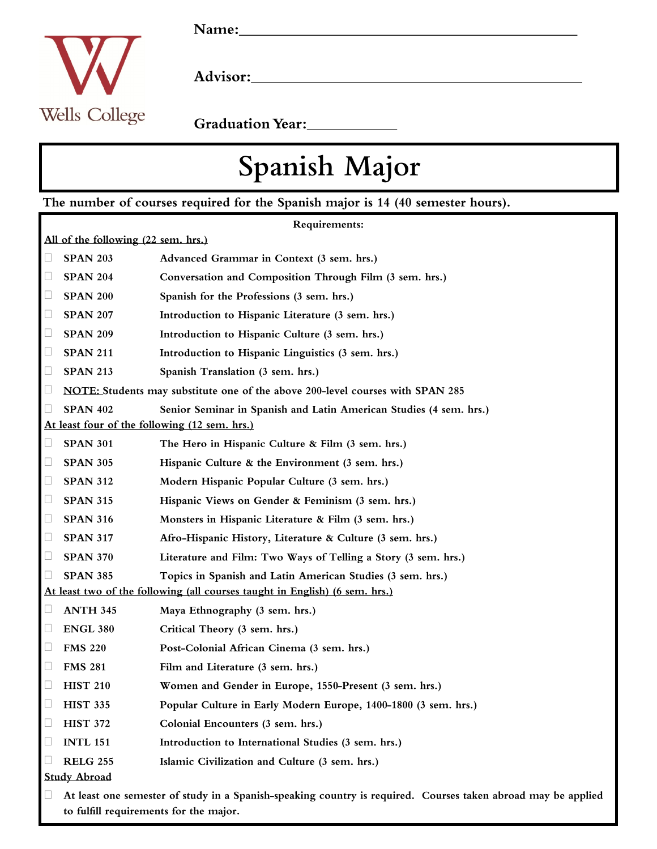

Graduation Year:<br>
<u>Carlian Year:</u>

## Spanish Major

The number of courses required for the Spanish major is 14 (40 semester hours).

| Requirements:                                                               |                                                                                                                                                         |                                                                                |
|-----------------------------------------------------------------------------|---------------------------------------------------------------------------------------------------------------------------------------------------------|--------------------------------------------------------------------------------|
| All of the following (22 sem. hrs.)                                         |                                                                                                                                                         |                                                                                |
| $\Box$                                                                      | <b>SPAN 203</b>                                                                                                                                         | Advanced Grammar in Context (3 sem. hrs.)                                      |
| $\Box$                                                                      | <b>SPAN 204</b>                                                                                                                                         | Conversation and Composition Through Film (3 sem. hrs.)                        |
| $\Box$                                                                      | <b>SPAN 200</b>                                                                                                                                         | Spanish for the Professions (3 sem. hrs.)                                      |
| $\Box$                                                                      | <b>SPAN 207</b>                                                                                                                                         | Introduction to Hispanic Literature (3 sem. hrs.)                              |
| $\Box$                                                                      | <b>SPAN 209</b>                                                                                                                                         | Introduction to Hispanic Culture (3 sem. hrs.)                                 |
| $\Box$                                                                      | <b>SPAN 211</b>                                                                                                                                         | Introduction to Hispanic Linguistics (3 sem. hrs.)                             |
| $\Box$                                                                      | <b>SPAN 213</b>                                                                                                                                         | Spanish Translation (3 sem. hrs.)                                              |
| $\Box$                                                                      |                                                                                                                                                         | NOTE: Students may substitute one of the above 200-level courses with SPAN 285 |
| $\Box$                                                                      | <b>SPAN 402</b>                                                                                                                                         | Senior Seminar in Spanish and Latin American Studies (4 sem. hrs.)             |
| At least four of the following (12 sem. hrs.)                               |                                                                                                                                                         |                                                                                |
| $\Box$                                                                      | <b>SPAN 301</b>                                                                                                                                         | The Hero in Hispanic Culture & Film (3 sem. hrs.)                              |
| $\Box$                                                                      | <b>SPAN 305</b>                                                                                                                                         | Hispanic Culture & the Environment (3 sem. hrs.)                               |
| $\Box$                                                                      | <b>SPAN 312</b>                                                                                                                                         | Modern Hispanic Popular Culture (3 sem. hrs.)                                  |
| $\Box$                                                                      | <b>SPAN 315</b>                                                                                                                                         | Hispanic Views on Gender & Feminism (3 sem. hrs.)                              |
| $\Box$                                                                      | <b>SPAN 316</b>                                                                                                                                         | Monsters in Hispanic Literature & Film (3 sem. hrs.)                           |
| $\Box$                                                                      | <b>SPAN 317</b>                                                                                                                                         | Afro-Hispanic History, Literature & Culture (3 sem. hrs.)                      |
| $\Box$                                                                      | <b>SPAN 370</b>                                                                                                                                         | Literature and Film: Two Ways of Telling a Story (3 sem. hrs.)                 |
| $\Box$                                                                      | <b>SPAN 385</b>                                                                                                                                         | Topics in Spanish and Latin American Studies (3 sem. hrs.)                     |
| At least two of the following (all courses taught in English) (6 sem. hrs.) |                                                                                                                                                         |                                                                                |
| $\Box$                                                                      | <b>ANTH 345</b>                                                                                                                                         | Maya Ethnography (3 sem. hrs.)                                                 |
| $\Box$                                                                      | <b>ENGL 380</b>                                                                                                                                         | Critical Theory (3 sem. hrs.)                                                  |
| L                                                                           | <b>FMS 220</b>                                                                                                                                          | Post-Colonial African Cinema (3 sem. hrs.)                                     |
| $\Box$                                                                      | <b>FMS 281</b>                                                                                                                                          | Film and Literature (3 sem. hrs.)                                              |
|                                                                             | <b>HIST 210</b>                                                                                                                                         | Women and Gender in Europe, 1550-Present (3 sem. hrs.)                         |
| $\Box$                                                                      | <b>HIST 335</b>                                                                                                                                         | Popular Culture in Early Modern Europe, 1400-1800 (3 sem. hrs.)                |
| Ц                                                                           | <b>HIST 372</b>                                                                                                                                         | Colonial Encounters (3 sem. hrs.)                                              |
| $\Box$                                                                      | <b>INTL 151</b>                                                                                                                                         | Introduction to International Studies (3 sem. hrs.)                            |
| Ш                                                                           | <b>RELG 255</b>                                                                                                                                         | Islamic Civilization and Culture (3 sem. hrs.)                                 |
| <b>Study Abroad</b>                                                         |                                                                                                                                                         |                                                                                |
| Ш                                                                           | At least one semester of study in a Spanish-speaking country is required. Courses taken abroad may be applied<br>to fulfill requirements for the major. |                                                                                |